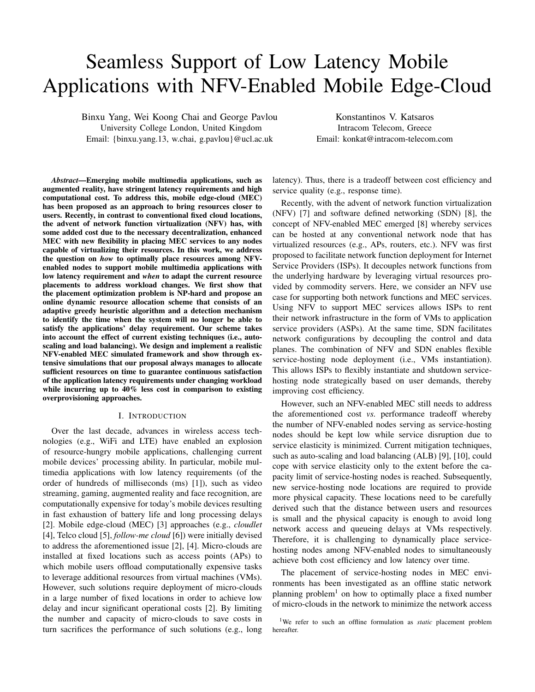# Seamless Support of Low Latency Mobile Applications with NFV-Enabled Mobile Edge-Cloud

Binxu Yang, Wei Koong Chai and George Pavlou University College London, United Kingdom Email: {binxu.yang.13, w.chai, g.pavlou}@ucl.ac.uk

Konstantinos V. Katsaros Intracom Telecom, Greece Email: konkat@intracom-telecom.com

*Abstract*—Emerging mobile multimedia applications, such as augmented reality, have stringent latency requirements and high computational cost. To address this, mobile edge-cloud (MEC) has been proposed as an approach to bring resources closer to users. Recently, in contrast to conventional fixed cloud locations, the advent of network function virtualization (NFV) has, with some added cost due to the necessary decentralization, enhanced MEC with new flexibility in placing MEC services to any nodes capable of virtualizing their resources. In this work, we address the question on *how* to optimally place resources among NFVenabled nodes to support mobile multimedia applications with low latency requirement and *when* to adapt the current resource placements to address workload changes. We first show that the placement optimization problem is NP-hard and propose an online dynamic resource allocation scheme that consists of an adaptive greedy heuristic algorithm and a detection mechanism to identify the time when the system will no longer be able to satisfy the applications' delay requirement. Our scheme takes into account the effect of current existing techniques (i.e., autoscaling and load balancing). We design and implement a realistic NFV-enabled MEC simulated framework and show through extensive simulations that our proposal always manages to allocate sufficient resources on time to guarantee continuous satisfaction of the application latency requirements under changing workload while incurring up to 40% less cost in comparison to existing overprovisioning approaches.

## I. INTRODUCTION

Over the last decade, advances in wireless access technologies (e.g., WiFi and LTE) have enabled an explosion of resource-hungry mobile applications, challenging current mobile devices' processing ability. In particular, mobile multimedia applications with low latency requirements (of the order of hundreds of milliseconds (ms) [1]), such as video streaming, gaming, augmented reality and face recognition, are computationally expensive for today's mobile devices resulting in fast exhaustion of battery life and long processing delays [2]. Mobile edge-cloud (MEC) [3] approaches (e.g., *cloudlet* [4], Telco cloud [5], *follow-me cloud* [6]) were initially devised to address the aforementioned issue [2], [4]. Micro-clouds are installed at fixed locations such as access points (APs) to which mobile users offload computationally expensive tasks to leverage additional resources from virtual machines (VMs). However, such solutions require deployment of micro-clouds in a large number of fixed locations in order to achieve low delay and incur significant operational costs [2]. By limiting the number and capacity of micro-clouds to save costs in turn sacrifices the performance of such solutions (e.g., long latency). Thus, there is a tradeoff between cost efficiency and service quality (e.g., response time).

Recently, with the advent of network function virtualization (NFV) [7] and software defined networking (SDN) [8], the concept of NFV-enabled MEC emerged [8] whereby services can be hosted at any conventional network node that has virtualized resources (e.g., APs, routers, etc.). NFV was first proposed to facilitate network function deployment for Internet Service Providers (ISPs). It decouples network functions from the underlying hardware by leveraging virtual resources provided by commodity servers. Here, we consider an NFV use case for supporting both network functions and MEC services. Using NFV to support MEC services allows ISPs to rent their network infrastructure in the form of VMs to application service providers (ASPs). At the same time, SDN facilitates network configurations by decoupling the control and data planes. The combination of NFV and SDN enables flexible service-hosting node deployment (i.e., VMs instantiation). This allows ISPs to flexibly instantiate and shutdown servicehosting node strategically based on user demands, thereby improving cost efficiency.

However, such an NFV-enabled MEC still needs to address the aforementioned cost *vs.* performance tradeoff whereby the number of NFV-enabled nodes serving as service-hosting nodes should be kept low while service disruption due to service elasticity is minimized. Current mitigation techniques, such as auto-scaling and load balancing (ALB) [9], [10], could cope with service elasticity only to the extent before the capacity limit of service-hosting nodes is reached. Subsequently, new service-hosting node locations are required to provide more physical capacity. These locations need to be carefully derived such that the distance between users and resources is small and the physical capacity is enough to avoid long network access and queueing delays at VMs respectively. Therefore, it is challenging to dynamically place servicehosting nodes among NFV-enabled nodes to simultaneously achieve both cost efficiency and low latency over time.

The placement of service-hosting nodes in MEC environments has been investigated as an offline static network planning problem<sup>1</sup> on how to optimally place a fixed number of micro-clouds in the network to minimize the network access

<sup>&</sup>lt;sup>1</sup>We refer to such an offline formulation as *static* placement problem hereafter.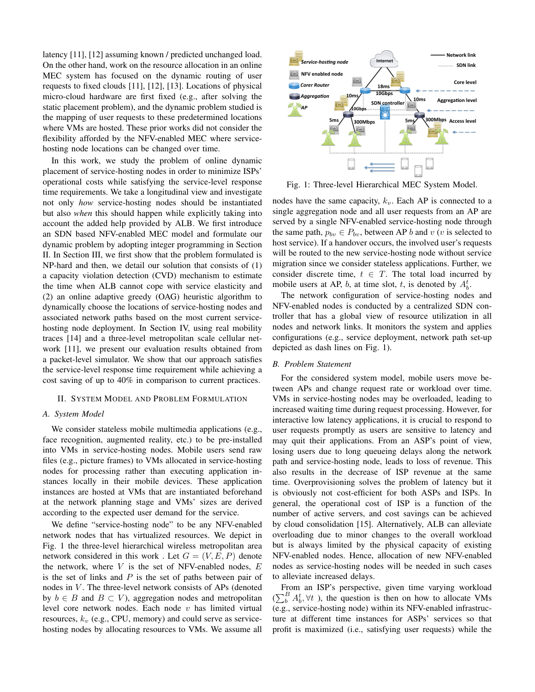latency [11], [12] assuming known / predicted unchanged load. On the other hand, work on the resource allocation in an online MEC system has focused on the dynamic routing of user requests to fixed clouds [11], [12], [13]. Locations of physical micro-cloud hardware are first fixed (e.g., after solving the static placement problem), and the dynamic problem studied is the mapping of user requests to these predetermined locations where VMs are hosted. These prior works did not consider the flexibility afforded by the NFV-enabled MEC where servicehosting node locations can be changed over time.

In this work, we study the problem of online dynamic placement of service-hosting nodes in order to minimize ISPs' operational costs while satisfying the service-level response time requirements. We take a longitudinal view and investigate not only *how* service-hosting nodes should be instantiated but also *when* this should happen while explicitly taking into account the added help provided by ALB. We first introduce an SDN based NFV-enabled MEC model and formulate our dynamic problem by adopting integer programming in Section II. In Section III, we first show that the problem formulated is NP-hard and then, we detail our solution that consists of (1) a capacity violation detection (CVD) mechanism to estimate the time when ALB cannot cope with service elasticity and (2) an online adaptive greedy (OAG) heuristic algorithm to dynamically choose the locations of service-hosting nodes and associated network paths based on the most current servicehosting node deployment. In Section IV, using real mobility traces [14] and a three-level metropolitan scale cellular network [11], we present our evaluation results obtained from a packet-level simulator. We show that our approach satisfies the service-level response time requirement while achieving a cost saving of up to 40% in comparison to current practices.

## II. SYSTEM MODEL AND PROBLEM FORMULATION

#### *A. System Model*

We consider stateless mobile multimedia applications (e.g., face recognition, augmented reality, etc.) to be pre-installed into VMs in service-hosting nodes. Mobile users send raw files (e.g., picture frames) to VMs allocated in service-hosting nodes for processing rather than executing application instances locally in their mobile devices. These application instances are hosted at VMs that are instantiated beforehand at the network planning stage and VMs' sizes are derived according to the expected user demand for the service.

We define "service-hosting node" to be any NFV-enabled network nodes that has virtualized resources. We depict in Fig. 1 the three-level hierarchical wireless metropolitan area network considered in this work. Let  $G = (V, E, P)$  denote the network, where  $V$  is the set of NFV-enabled nodes,  $E$ is the set of links and  $P$  is the set of paths between pair of nodes in V. The three-level network consists of APs (denoted by  $b \in B$  and  $B \subset V$ ), aggregation nodes and metropolitan level core network nodes. Each node  $v$  has limited virtual resources,  $k_v$  (e.g., CPU, memory) and could serve as servicehosting nodes by allocating resources to VMs. We assume all



Fig. 1: Three-level Hierarchical MEC System Model.

nodes have the same capacity,  $k_v$ . Each AP is connected to a single aggregation node and all user requests from an AP are served by a single NFV-enabled service-hosting node through the same path,  $p_{bv} \in P_{bv}$ , between AP b and v (v is selected to host service). If a handover occurs, the involved user's requests will be routed to the new service-hosting node without service migration since we consider stateless applications. Further, we consider discrete time,  $t \in T$ . The total load incurred by mobile users at AP, b, at time slot, t, is denoted by  $A_b^t$ .

The network configuration of service-hosting nodes and NFV-enabled nodes is conducted by a centralized SDN controller that has a global view of resource utilization in all nodes and network links. It monitors the system and applies configurations (e.g., service deployment, network path set-up depicted as dash lines on Fig. 1).

## *B. Problem Statement*

For the considered system model, mobile users move between APs and change request rate or workload over time. VMs in service-hosting nodes may be overloaded, leading to increased waiting time during request processing. However, for interactive low latency applications, it is crucial to respond to user requests promptly as users are sensitive to latency and may quit their applications. From an ASP's point of view, losing users due to long queueing delays along the network path and service-hosting node, leads to loss of revenue. This also results in the decrease of ISP revenue at the same time. Overprovisioning solves the problem of latency but it is obviously not cost-efficient for both ASPs and ISPs. In general, the operational cost of ISP is a function of the number of active servers, and cost savings can be achieved by cloud consolidation [15]. Alternatively, ALB can alleviate overloading due to minor changes to the overall workload but is always limited by the physical capacity of existing NFV-enabled nodes. Hence, allocation of new NFV-enabled nodes as service-hosting nodes will be needed in such cases to alleviate increased delays.

From an ISP's perspective, given time varying workload  $(\sum_{b}^{B} A_{b}^{t}, \forall t)$ , the question is then on how to allocate VMs (e.g., service-hosting node) within its NFV-enabled infrastructure at different time instances for ASPs' services so that profit is maximized (i.e., satisfying user requests) while the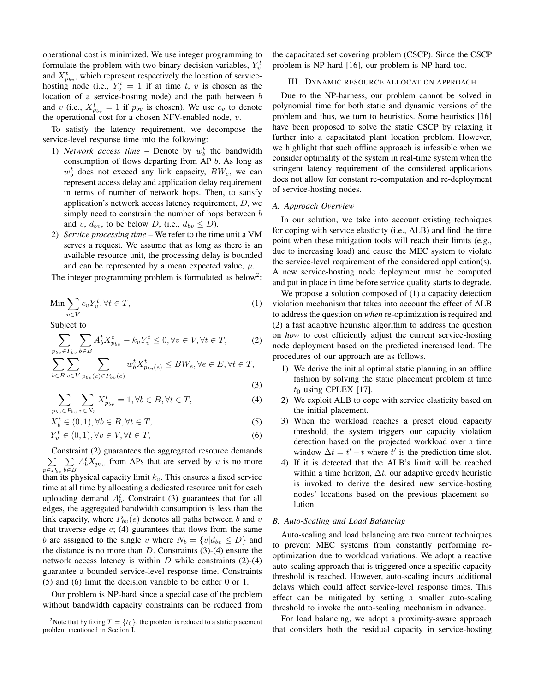operational cost is minimized. We use integer programming to formulate the problem with two binary decision variables,  $Y_v^t$ and  $X_{p_{bv}}^t$ , which represent respectively the location of servicehosting node (i.e.,  $Y_v^t = 1$  if at time t, v is chosen as the location of a service-hosting node) and the path between b and v (i.e.,  $X_{p_{bv}}^t = 1$  if  $p_{bv}$  is chosen). We use  $c_v$  to denote the operational cost for a chosen NFV-enabled node,  $v$ .

To satisfy the latency requirement, we decompose the service-level response time into the following:

- 1) *Network access time* Denote by  $w_b^t$  the bandwidth consumption of flows departing from AP b. As long as  $w_b^t$  does not exceed any link capacity,  $BW_e$ , we can represent access delay and application delay requirement in terms of number of network hops. Then, to satisfy application's network access latency requirement, D, we simply need to constrain the number of hops between  $b$ and v,  $d_{bv}$ , to be below D, (i.e.,  $d_{bv} \leq D$ ).
- 2) *Service processing time* We refer to the time unit a VM serves a request. We assume that as long as there is an available resource unit, the processing delay is bounded and can be represented by a mean expected value,  $\mu$ .

The integer programming problem is formulated as below<sup>2</sup>:

$$
\text{Min} \sum_{v \in V} c_v Y_v^t, \forall t \in T,
$$
\n<sup>(1)</sup>

Subject to

$$
\sum_{p_{bv}\in P_{bv}} \sum_{b\in B} A_b^t X_{p_{bv}}^t - k_v Y_v^t \le 0, \forall v \in V, \forall t \in T,
$$
 (2)

$$
\sum_{b \in B} \sum_{v \in V} \sum_{p_{bv}(e) \in P_{bv}(e)} w_b^t X_{p_{bv}(e)}^t \le BW_e, \forall e \in E, \forall t \in T,
$$
\n(3)

 $\sum_{p_{b}} \sum_{p_{b}} X_{p_{b}}^{t} = 1, \forall b \in B, \forall t \in T,$  (4)

$$
p_{bv} \in P_{bv} \quad v \in N_b \tag{1}
$$

$$
X_b^t \in (0, 1), \forall b \in B, \forall t \in T,
$$
\n
$$
(5)
$$

$$
Y_v^t \in (0,1), \forall v \in V, \forall t \in T,
$$
\n
$$
(6)
$$

P Constraint (2) guarantees the aggregated resource demands  $p \in P_{bv}$ P b∈B  $A_b^t X_{p_{bv}}$  from APs that are served by v is no more

than its physical capacity limit  $k_v$ . This ensures a fixed service time at all time by allocating a dedicated resource unit for each uploading demand  $A_b^t$ . Constraint (3) guarantees that for all edges, the aggregated bandwidth consumption is less than the link capacity, where  $P_{bv}(e)$  denotes all paths between b and v that traverse edge  $e$ ; (4) guarantees that flows from the same b are assigned to the single v where  $N_b = \{v | d_{bv} \le D\}$  and the distance is no more than  $D$ . Constraints (3)-(4) ensure the network access latency is within  $D$  while constraints (2)-(4) guarantee a bounded service-level response time. Constraints (5) and (6) limit the decision variable to be either 0 or 1.

Our problem is NP-hard since a special case of the problem without bandwidth capacity constraints can be reduced from the capacitated set covering problem (CSCP). Since the CSCP problem is NP-hard [16], our problem is NP-hard too.

## III. DYNAMIC RESOURCE ALLOCATION APPROACH

Due to the NP-harness, our problem cannot be solved in polynomial time for both static and dynamic versions of the problem and thus, we turn to heuristics. Some heuristics [16] have been proposed to solve the static CSCP by relaxing it further into a capacitated plant location problem. However, we highlight that such offline approach is infeasible when we consider optimality of the system in real-time system when the stringent latency requirement of the considered applications does not allow for constant re-computation and re-deployment of service-hosting nodes.

#### *A. Approach Overview*

In our solution, we take into account existing techniques for coping with service elasticity (i.e., ALB) and find the time point when these mitigation tools will reach their limits (e.g., due to increasing load) and cause the MEC system to violate the service-level requirement of the considered application(s). A new service-hosting node deployment must be computed and put in place in time before service quality starts to degrade.

We propose a solution composed of (1) a capacity detection violation mechanism that takes into account the effect of ALB to address the question on *when* re-optimization is required and (2) a fast adaptive heuristic algorithm to address the question on *how* to cost efficiently adjust the current service-hosting node deployment based on the predicted increased load. The procedures of our approach are as follows.

- 1) We derive the initial optimal static planning in an offline fashion by solving the static placement problem at time  $t_0$  using CPLEX [17].
- 2) We exploit ALB to cope with service elasticity based on the initial placement.
- 3) When the workload reaches a preset cloud capacity threshold, the system triggers our capacity violation detection based on the projected workload over a time window  $\Delta t = t' - t$  where  $t'$  is the prediction time slot.
- 4) If it is detected that the ALB's limit will be reached within a time horizon,  $\Delta t$ , our adaptive greedy heuristic is invoked to derive the desired new service-hosting nodes' locations based on the previous placement solution.

## *B. Auto-Scaling and Load Balancing*

Auto-scaling and load balancing are two current techniques to prevent MEC systems from constantly performing reoptimization due to workload variations. We adopt a reactive auto-scaling approach that is triggered once a specific capacity threshold is reached. However, auto-scaling incurs additional delays which could affect service-level response times. This effect can be mitigated by setting a smaller auto-scaling threshold to invoke the auto-scaling mechanism in advance.

For load balancing, we adopt a proximity-aware approach that considers both the residual capacity in service-hosting

<sup>&</sup>lt;sup>2</sup>Note that by fixing  $T = \{t_0\}$ , the problem is reduced to a static placement problem mentioned in Section I.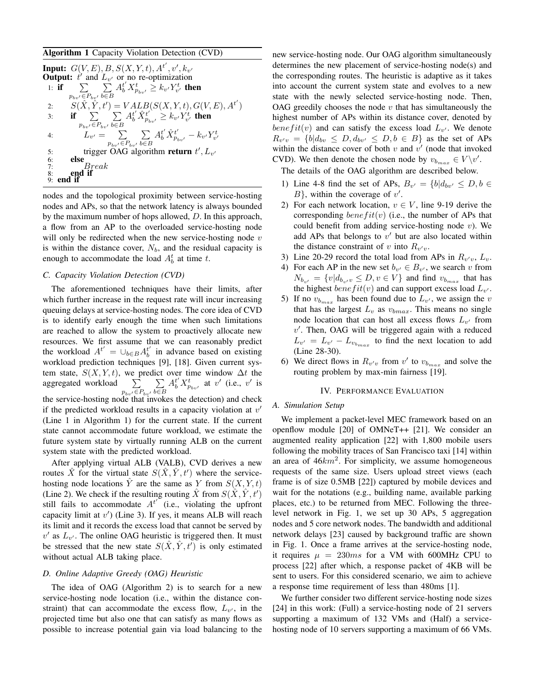## Algorithm 1 Capacity Violation Detection (CVD)

|    | <b>Input:</b> $G(V, E), B, S(X, Y, t), A^{t'}, v', k_{v'}$<br><b>Output:</b> $t'$ and $L_{v'}$ or no re-optimization |
|----|----------------------------------------------------------------------------------------------------------------------|
|    | $\sum \sum A_b^{t'} X_{p_{h\omega'}}^t \geq k_{v'} Y_{v'}^t$ then<br>1: if                                           |
|    | $p_{h_n}$ $\in$ $P_{h_n}$ , $b \in B$                                                                                |
| 2: | $S(\hat{X}, \hat{Y}, t') = VALB(S(X, Y, t), G(V, E), A^{t'})$                                                        |
| 3: | if $\sum \frac{A_b^{t'} \hat{X}_{p_{h,v'}}^{t'}}{\sum A_b^{t'} \hat{X}_{p_{h,v'}}^{t'}} \geq k_{v'} Y_{v'}^t$ then   |
|    | $p_{h,v} \in P_{h,v}$ , $b \in B$                                                                                    |
| 4: | $L_{v'} = \sum_{v} A_b^{t'} \hat{X}_{p_{it}}^{t'} - k_{v'} Y_{v'}^{t}$                                               |
|    | $p_{h,v} \in P_{h,v}$ , $b \in B$                                                                                    |
| 5: | trigger OAG algorithm return $t', L_{v'}$                                                                            |
| 6: | else                                                                                                                 |
| 7: | $\it{Break}$                                                                                                         |
| 8: | end if                                                                                                               |
|    | end if                                                                                                               |

nodes and the topological proximity between service-hosting nodes and APs, so that the network latency is always bounded by the maximum number of hops allowed, D. In this approach, a flow from an AP to the overloaded service-hosting node will only be redirected when the new service-hosting node  $v$ is within the distance cover,  $N_b$ , and the residual capacity is enough to accommodate the load  $A_b^t$  at time t.

## *C. Capacity Violation Detection (CVD)*

The aforementioned techniques have their limits, after which further increase in the request rate will incur increasing queuing delays at service-hosting nodes. The core idea of CVD is to identify early enough the time when such limitations are reached to allow the system to proactively allocate new resources. We first assume that we can reasonably predict the workload  $A^{t'} = \bigcup_{b \in B} A_b^{t'}$  in advance based on existing workload prediction techniques [9], [18]. Given current system state,  $S(X, Y, t)$ , we predict over time window  $\Delta t$  the aggregated workload  $\sum$  $p_{bv'} \in P_{bv'}$  $\sum$ b∈B  $A_b^{t'} X_{p_{bv'}}^t$  at v' (i.e., v' is the service-hosting node that invokes the detection) and check if the predicted workload results in a capacity violation at  $v'$ (Line 1 in Algorithm 1) for the current state. If the current state cannot accommodate future workload, we estimate the future system state by virtually running ALB on the current system state with the predicted workload.

After applying virtual ALB (VALB), CVD derives a new routes  $\hat{X}$  for the virtual state  $S(\hat{X}, \hat{Y}, t')$  where the servicehosting node locations  $\hat{Y}$  are the same as Y from  $S(X, Y, t)$ (Line 2). We check if the resulting routing  $\hat{X}$  from  $S(\hat{X}, \hat{Y}, t')$ still fails to accommodate  ${A^{t}}'$  (i.e., violating the upfront capacity limit at  $v'$ ) (Line 3). If yes, it means ALB will reach its limit and it records the excess load that cannot be served by  $v'$  as  $L_{v'}$ . The online OAG heuristic is triggered then. It must be stressed that the new state  $S(\hat{X}, \hat{Y}, t')$  is only estimated without actual ALB taking place.

#### *D. Online Adaptive Greedy (OAG) Heuristic*

The idea of OAG (Algorithm 2) is to search for a new service-hosting node location (i.e., within the distance constraint) that can accommodate the excess flow,  $L_{v'}$ , in the projected time but also one that can satisfy as many flows as possible to increase potential gain via load balancing to the new service-hosting node. Our OAG algorithm simultaneously determines the new placement of service-hosting node(s) and the corresponding routes. The heuristic is adaptive as it takes into account the current system state and evolves to a new state with the newly selected service-hosting node. Then, OAG greedily chooses the node  $v$  that has simultaneously the highest number of APs within its distance cover, denoted by  $\phi_{\text{ne}} f(t(v))$  and can satisfy the excess load  $L_{v'}$ . We denote  $R_{v'v} = \{b|d_{bv} \leq D, d_{bv'} \leq D, b \in B\}$  as the set of APs within the distance cover of both  $v$  and  $v'$  (node that invoked CVD). We then denote the chosen node by  $v_{b_{max}} \in V \backslash v'$ .

The details of the OAG algorithm are described below.

- 1) Line 4-8 find the set of APs,  $B_{v'} = \{b | d_{bv'} \le D, b \in$  $B$ , within the coverage of  $v'$ .
- 2) For each network location,  $v \in V$ , line 9-19 derive the corresponding  $benefit(v)$  (i.e., the number of APs that could benefit from adding service-hosting node  $v$ ). We add APs that belongs to  $v'$  but are also located within the distance constraint of v into  $R_{v'v}$ .
- 3) Line 20-29 record the total load from APs in  $R_{v,v}$ ,  $L_v$ .
- 4) For each AP in the new set  $b_{v'} \in B_{v'}$ , we search v from  $N_{b_{v'}} = \{v | d_{b_{v'}v} \leq D, v \in V\}$  and find  $v_{b_{max}}$  that has the highest  $\mathit{benefit}(v)$  and can support excess load  $L_{v'}$ .
- 5) If no  $v_{b_{max}}$  has been found due to  $L_{v'}$ , we assign the v that has the largest  $L_v$  as  $v_{bmax}$ . This means no single node location that can host all excess flows  $L_{v'}$  from  $v'$ . Then, OAG will be triggered again with a reduced  $L_{v'} = L_{v'} - L_{v_{b_{max}}}$  to find the next location to add (Line 28-30).
- 6) We direct flows in  $R_{v'v}$  from  $v'$  to  $v_{b_{max}}$  and solve the routing problem by max-min fairness [19].

#### IV. PERFORMANCE EVALUATION

## *A. Simulation Setup*

We implement a packet-level MEC framework based on an openflow module [20] of OMNeT++ [21]. We consider an augmented reality application [22] with 1,800 mobile users following the mobility traces of San Francisco taxi [14] within an area of  $46km^2$ . For simplicity, we assume homogeneous requests of the same size. Users upload street views (each frame is of size 0.5MB [22]) captured by mobile devices and wait for the notations (e.g., building name, available parking places, etc.) to be returned from MEC. Following the threelevel network in Fig. 1, we set up 30 APs, 5 aggregation nodes and 5 core network nodes. The bandwidth and additional network delays [23] caused by background traffic are shown in Fig. 1. Once a frame arrives at the service-hosting node, it requires  $\mu = 230ms$  for a VM with 600MHz CPU to process [22] after which, a response packet of 4KB will be sent to users. For this considered scenario, we aim to achieve a response time requirement of less than 480ms [1].

We further consider two different service-hosting node sizes [24] in this work: (Full) a service-hosting node of 21 servers supporting a maximum of 132 VMs and (Half) a servicehosting node of 10 servers supporting a maximum of 66 VMs.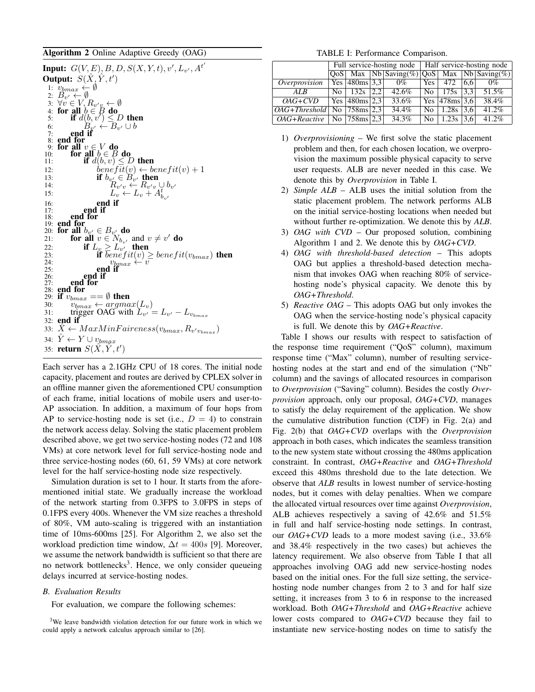## Algorithm 2 Online Adaptive Greedy (OAG)

**Input:**  $G(V, E), B, D, S(X, Y, t), v', L_{v'}, A^{t'}$ Output:  $\hat{S}(\hat{X}, \hat{Y}, t')$ 1:  $v_{bmax} \leftarrow \emptyset$ 2:  $B_{v'} \leftarrow \emptyset$ 3:  $\forall v \in V, R_{v'v} \leftarrow \emptyset$ 4: for all  $b \in B$  do<br>5: if  $d(b, v') \leq D$  then 6:  $B_{y'} \leftarrow B_{v'} \cup b$ 7: end if 7: end for<br>8: end for<br>9: for all 9: for all  $v \in V$  do<br>
10: for all  $b \in B$  do<br>
11: if  $d(b, v) \le D$  then 12: benefit(v)  $\leftarrow benefit(v) + 1$ 13: **if**  $b_{v_1} \in B_{v_1}$  then 14:  $R_{v'v} \leftarrow R_{v'v} \cup b_{v'}$ 15:  $L_v \leftarrow L_v + A_{b_{v'}}^{\overline{t}}$ 16:  $\begin{array}{ccc} 16: & \text{end if} \\ 17: & \text{end if} \end{array}$  $\begin{array}{cc} 17: \\ 18: \\ \end{array}$  end if end for 19: end for 20: for all  $b_{v'} \in B_{v'}$  do 21: **for all**  $v \in N_{b_v}$  and  $v \neq v'$  do 22: if  $L_v \geq L_{v'}$  then 23: **if**  $\overline{benefit(v)} \geq \overline{benefit(v_{bmax})}$  then 24:  $v_{bmax} \leftarrow v$ <br>
25: **end if**  $26:$  end if  $27:$  end for  $27:$  end for  $28:$  end for 28: **end for**  $29 \cdot$  **if**  $v_{k}$ 29: if  $v_{bmax} == \emptyset$  then<br>30:  $v_{bmax} \leftarrow arg$ 30:  $v_{bmax} \leftarrow argmax(L_v)$ <br>31: trigger OAG with  $L_{v'}$ 31: trigger OAG with  $L_{v'} = L_{v'} - L_{v_{bmax}}$ 32: end if 33:  $\hat{X} \leftarrow MaxMinFaireness(v_{bmax}, R_{v'v_{bmax}})$ 34:  $\hat{Y} \leftarrow Y \cup v_{bmqx}$ 35: **return**  $S(\hat{X}, \hat{Y}, t')$ 

Each server has a 2.1GHz CPU of 18 cores. The initial node capacity, placement and routes are derived by CPLEX solver in an offline manner given the aforementioned CPU consumption of each frame, initial locations of mobile users and user-to-AP association. In addition, a maximum of four hops from AP to service-hosting node is set (i.e.,  $D = 4$ ) to constrain the network access delay. Solving the static placement problem described above, we get two service-hosting nodes (72 and 108 VMs) at core network level for full service-hosting node and three service-hosting nodes (60, 61, 59 VMs) at core network level for the half service-hosting node size respectively.

Simulation duration is set to 1 hour. It starts from the aforementioned initial state. We gradually increase the workload of the network starting from 0.3FPS to 3.0FPS in steps of 0.1FPS every 400s. Whenever the VM size reaches a threshold of 80%, VM auto-scaling is triggered with an instantiation time of 10ms-600ms [25]. For Algorithm 2, we also set the workload prediction time window,  $\Delta t = 400s$  [9]. Moreover, we assume the network bandwidth is sufficient so that there are no network bottlenecks<sup>3</sup>. Hence, we only consider queueing delays incurred at service-hosting nodes.

#### *B. Evaluation Results*

For evaluation, we compare the following schemes:

TABLE I: Performance Comparison.

|                                      |  |                        |     |                                                  | Full service-hosting node   Half service-hosting node |                                               |     |          |  |  |
|--------------------------------------|--|------------------------|-----|--------------------------------------------------|-------------------------------------------------------|-----------------------------------------------|-----|----------|--|--|
|                                      |  |                        |     | $QoS$ Max  Nb Saving(%)  $QoS$ Max  Nb Saving(%) |                                                       |                                               |     |          |  |  |
| Overprovision                        |  | Yes   480ms   3,3      |     | $0\%$                                            | Yes                                                   | 472                                           | 6.6 | $0\%$    |  |  |
| ALR                                  |  | $\text{No}$   132s     | 2.2 | 42.6%                                            |                                                       | $\text{No}$   175s   3.3                      |     | 51.5%    |  |  |
| $OAG+CVD$                            |  | $\text{Yes}$ 480ms 2.3 |     | 33.6%                                            |                                                       | $\vert$ Yes $\vert$ 478ms $\vert$ 3,6 $\vert$ |     | 38.4%    |  |  |
| $OAG+Threshold$ No $ 758$ ms $ 2,3 $ |  |                        |     | 34.4%                                            | No.                                                   | 1.28s                                         | 3.6 | 41.2%    |  |  |
| $OAG + Reactive$   No   758ms   2,3  |  |                        |     | 34.3%                                            | No.                                                   | 1.23s                                         | 3.6 | $41.2\%$ |  |  |

- 1) *Overprovisioning* We first solve the static placement problem and then, for each chosen location, we overprovision the maximum possible physical capacity to serve user requests. ALB are never needed in this case. We denote this by *Overprovision* in Table I.
- 2) *Simple ALB* ALB uses the initial solution from the static placement problem. The network performs ALB on the initial service-hosting locations when needed but without further re-optimization. We denote this by *ALB*.
- 3) *OAG with CVD* Our proposed solution, combining Algorithm 1 and 2. We denote this by *OAG+CVD*.
- 4) *OAG with threshold-based detection* This adopts OAG but applies a threshold-based detection mechanism that invokes OAG when reaching 80% of servicehosting node's physical capacity. We denote this by *OAG+Threshold*.
- 5) *Reactive OAG* This adopts OAG but only invokes the OAG when the service-hosting node's physical capacity is full. We denote this by *OAG+Reactive*.

Table I shows our results with respect to satisfaction of the response time requirement ("QoS" column), maximum response time ("Max" column), number of resulting servicehosting nodes at the start and end of the simulation ("Nb" column) and the savings of allocated resources in comparison to *Overprovision* ("Saving" column). Besides the costly *Overprovision* approach, only our proposal, *OAG+CVD*, manages to satisfy the delay requirement of the application. We show the cumulative distribution function (CDF) in Fig. 2(a) and Fig. 2(b) that *OAG+CVD* overlaps with the *Overprovision* approach in both cases, which indicates the seamless transition to the new system state without crossing the 480ms application constraint. In contrast, *OAG+Reactive* and *OAG+Threshold* exceed this 480ms threshold due to the late detection. We observe that *ALB* results in lowest number of service-hosting nodes, but it comes with delay penalties. When we compare the allocated virtual resources over time against *Overprovision*, ALB achieves respectively a saving of 42.6% and 51.5% in full and half service-hosting node settings. In contrast, our *OAG+CVD* leads to a more modest saving (i.e., 33.6% and 38.4% respectively in the two cases) but achieves the latency requirement. We also observe from Table I that all approaches involving OAG add new service-hosting nodes based on the initial ones. For the full size setting, the servicehosting node number changes from 2 to 3 and for half size setting, it increases from 3 to 6 in response to the increased workload. Both *OAG+Threshold* and *OAG+Reactive* achieve lower costs compared to *OAG+CVD* because they fail to instantiate new service-hosting nodes on time to satisfy the

<sup>&</sup>lt;sup>3</sup>We leave bandwidth violation detection for our future work in which we could apply a network calculus approach similar to [26].